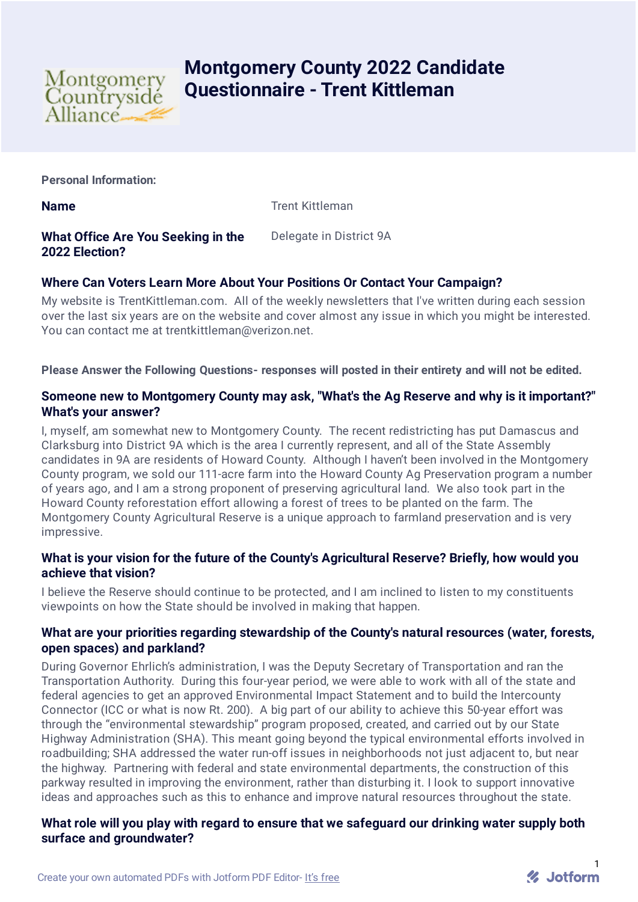

# **Montgomery County 2022 Candidate Questionnaire - Trent Kittleman**

**Personal Information:**

**Name** Trent Kittleman

## **What Office Are You Seeking in the 2022 Election?**

Delegate in District 9A

# **Where Can Voters Learn More About Your Positions Or Contact Your Campaign?**

My website is TrentKittleman.com. All of the weekly newsletters that I've written during each session over the last six years are on the website and cover almost any issue in which you might be interested. You can contact me at trentkittleman@verizon.net.

**Please Answer the Following Questions- responses will posted in their entirety and will not be edited.**

## **Someone new to Montgomery County may ask, "What's the Ag Reserve and why is it important?" What's your answer?**

I, myself, am somewhat new to Montgomery County. The recent redistricting has put Damascus and Clarksburg into District 9A which is the area I currently represent, and all of the State Assembly candidates in 9A are residents of Howard County. Although I haven't been involved in the Montgomery County program, we sold our 111-acre farm into the Howard County Ag Preservation program a number of years ago, and I am a strong proponent of preserving agricultural land. We also took part in the Howard County reforestation effort allowing a forest of trees to be planted on the farm. The Montgomery County Agricultural Reserve is a unique approach to farmland preservation and is very impressive.

## **What is your vision for the future of the County's Agricultural Reserve? Briefly, how would you achieve that vision?**

I believe the Reserve should continue to be protected, and I am inclined to listen to my constituents viewpoints on how the State should be involved in making that happen.

## **What are your priorities regarding stewardship of the County's natural resources (water, forests, open spaces) and parkland?**

During Governor Ehrlich's administration, I was the Deputy Secretary of Transportation and ran the Transportation Authority. During this four-year period, we were able to work with all of the state and federal agencies to get an approved Environmental Impact Statement and to build the Intercounty Connector (ICC or what is now Rt. 200). A big part of our ability to achieve this 50-year effort was through the "environmental stewardship" program proposed, created, and carried out by our State Highway Administration (SHA). This meant going beyond the typical environmental efforts involved in roadbuilding; SHA addressed the water run-off issues in neighborhoods not just adjacent to, but near the highway. Partnering with federal and state environmental departments, the construction of this parkway resulted in improving the environment, rather than disturbing it. I look to support innovative ideas and approaches such as this to enhance and improve natural resources throughout the state.

## **What role will you play with regard to ensure that we safeguard our drinking water supply both surface and groundwater?**